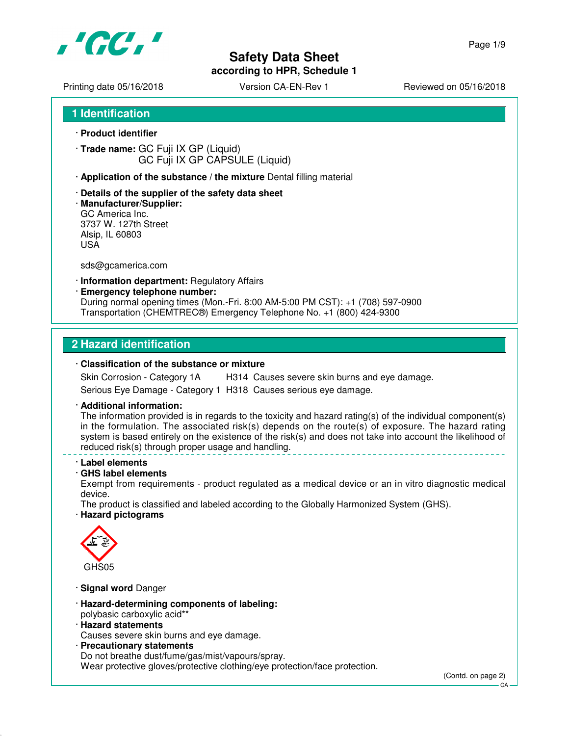

# **Safety Data Sheet**

**according to HPR, Schedule 1**

Page 1/9

Printing date 05/16/2018 <br>
Version CA-EN-Rev 1 Reviewed on 05/16/2018

**1 Identification**

- · **Product identifier**
- · **Trade name:** GC Fuji IX GP (Liquid) GC Fuji IX GP CAPSULE (Liquid)
- · **Application of the substance / the mixture** Dental filling material
- · **Details of the supplier of the safety data sheet**
- · **Manufacturer/Supplier:** GC America Inc. 3737 W. 127th Street Alsip, IL 60803 USA

sds@gcamerica.com

- · **Information department:** Regulatory Affairs
- · **Emergency telephone number:**

During normal opening times (Mon.-Fri. 8:00 AM-5:00 PM CST): +1 (708) 597-0900 Transportation (CHEMTREC®) Emergency Telephone No. +1 (800) 424-9300

#### **2 Hazard identification**

#### · **Classification of the substance or mixture**

Skin Corrosion - Category 1A H314 Causes severe skin burns and eye damage. Serious Eye Damage - Category 1 H318 Causes serious eye damage.

· **Additional information:**

The information provided is in regards to the toxicity and hazard rating(s) of the individual component(s) in the formulation. The associated risk(s) depends on the route(s) of exposure. The hazard rating system is based entirely on the existence of the risk(s) and does not take into account the likelihood of reduced risk(s) through proper usage and handling.

- · **Label elements**
- · **GHS label elements**

Exempt from requirements - product regulated as a medical device or an in vitro diagnostic medical device.

The product is classified and labeled according to the Globally Harmonized System (GHS).

· **Hazard pictograms**



- · **Signal word** Danger
- · **Hazard-determining components of labeling:** polybasic carboxylic acid\*\*
- · **Hazard statements**

Causes severe skin burns and eye damage.

· **Precautionary statements** Do not breathe dust/fume/gas/mist/vapours/spray. Wear protective gloves/protective clothing/eye protection/face protection.

(Contd. on page 2)

 $C.A$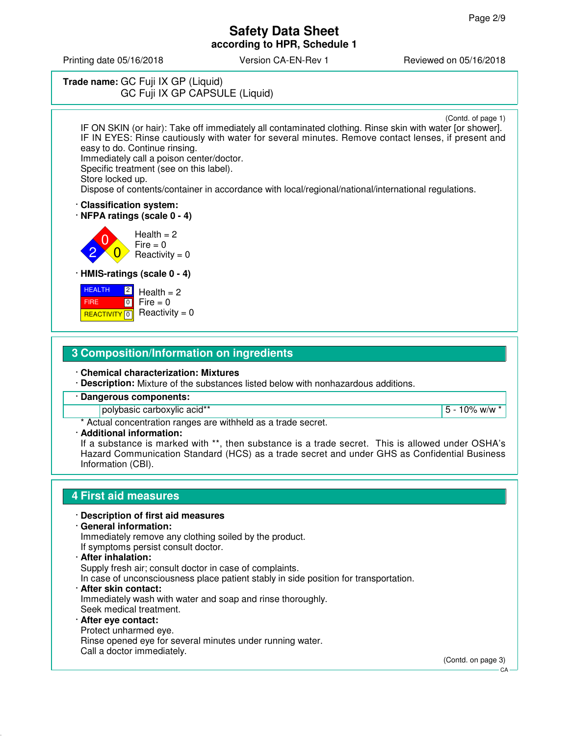Printing date 05/16/2018 Version CA-EN-Rev 1 Reviewed on 05/16/2018

### **Trade name:** GC Fuji IX GP (Liquid) GC Fuji IX GP CAPSULE (Liquid)

(Contd. of page 1)

IF ON SKIN (or hair): Take off immediately all contaminated clothing. Rinse skin with water [or shower]. IF IN EYES: Rinse cautiously with water for several minutes. Remove contact lenses, if present and easy to do. Continue rinsing.

Immediately call a poison center/doctor.

Specific treatment (see on this label). Store locked up.

Dispose of contents/container in accordance with local/regional/national/international regulations.

· **Classification system:**

· **NFPA ratings (scale 0 - 4)**

2 0  $\overline{0}$  $Health = 2$  $Fire = 0$  $Reactivity = 0$ 

· **HMIS-ratings (scale 0 - 4)**

| <b>HEALTH</b><br> 2 | Health $= 2$                                    |
|---------------------|-------------------------------------------------|
| <b>FIRE</b>         | $\begin{bmatrix} 0 \\ 1 \end{bmatrix}$ Fire = 0 |
|                     | <b>REACTIVITY 6</b> Reactivity = 0              |

### **3 Composition/Information on ingredients**

· **Chemical characterization: Mixtures**

· **Description:** Mixture of the substances listed below with nonhazardous additions.

· **Dangerous components:**

polybasic carboxylic acid\*\* 5 - 10% w/w \*

\* Actual concentration ranges are withheld as a trade secret.

· **Additional information:**

If a substance is marked with \*\*, then substance is a trade secret. This is allowed under OSHA's Hazard Communication Standard (HCS) as a trade secret and under GHS as Confidential Business Information (CBI).

### **4 First aid measures**

#### · **Description of first aid measures**

· **General information:**

Immediately remove any clothing soiled by the product. If symptoms persist consult doctor.

· **After inhalation:** Supply fresh air; consult doctor in case of complaints. In case of unconsciousness place patient stably in side position for transportation. · **After skin contact:** Immediately wash with water and soap and rinse thoroughly. Seek medical treatment.

· **After eye contact:** Protect unharmed eye. Rinse opened eye for several minutes under running water. Call a doctor immediately.

(Contd. on page 3)

CA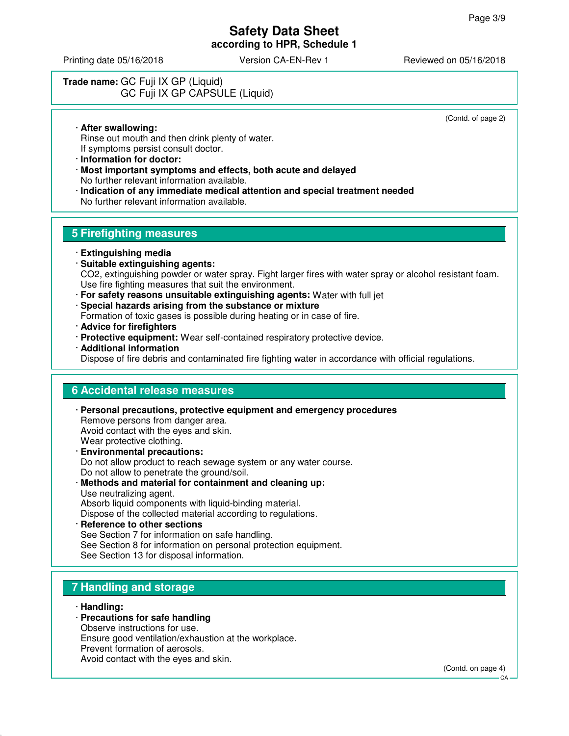Printing date 05/16/2018 Version CA-EN-Rev 1 Reviewed on 05/16/2018

### **Trade name:** GC Fuji IX GP (Liquid) GC Fuji IX GP CAPSULE (Liquid)

(Contd. of page 2)

· **After swallowing:** Rinse out mouth and then drink plenty of water. If symptoms persist consult doctor.

- · **Information for doctor:**
- · **Most important symptoms and effects, both acute and delayed** No further relevant information available.
- · **Indication of any immediate medical attention and special treatment needed** No further relevant information available.

### **5 Firefighting measures**

- · **Extinguishing media**
- · **Suitable extinguishing agents:** CO2, extinguishing powder or water spray. Fight larger fires with water spray or alcohol resistant foam. Use fire fighting measures that suit the environment.
- · **For safety reasons unsuitable extinguishing agents:** Water with full jet
- · **Special hazards arising from the substance or mixture**
- Formation of toxic gases is possible during heating or in case of fire.
- · **Advice for firefighters**
- · **Protective equipment:** Wear self-contained respiratory protective device.
- · **Additional information**

Dispose of fire debris and contaminated fire fighting water in accordance with official regulations.

### **6 Accidental release measures**

- · **Personal precautions, protective equipment and emergency procedures** Remove persons from danger area. Avoid contact with the eyes and skin. Wear protective clothing. · **Environmental precautions:** Do not allow product to reach sewage system or any water course. Do not allow to penetrate the ground/soil.
- · **Methods and material for containment and cleaning up:** Use neutralizing agent. Absorb liquid components with liquid-binding material.

Dispose of the collected material according to regulations.

· **Reference to other sections** See Section 7 for information on safe handling. See Section 8 for information on personal protection equipment. See Section 13 for disposal information.

### **7 Handling and storage**

- · **Handling:**
- · **Precautions for safe handling**
- Observe instructions for use.
- Ensure good ventilation/exhaustion at the workplace.
- Prevent formation of aerosols.
- Avoid contact with the eyes and skin.

(Contd. on page 4)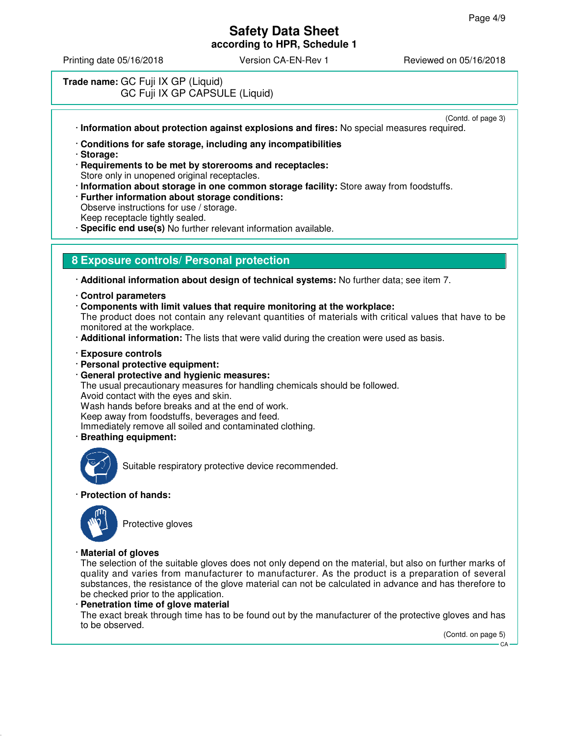Printing date 05/16/2018 Version CA-EN-Rev 1 Reviewed on 05/16/2018

### **Trade name:** GC Fuji IX GP (Liquid) GC Fuji IX GP CAPSULE (Liquid)

- (Contd. of page 3) · **Information about protection against explosions and fires:** No special measures required.
- · **Conditions for safe storage, including any incompatibilities**
- · **Storage:**
- · **Requirements to be met by storerooms and receptacles:** Store only in unopened original receptacles.
- · **Information about storage in one common storage facility:** Store away from foodstuffs.
- · **Further information about storage conditions:** Observe instructions for use / storage.
- Keep receptacle tightly sealed.
- **Specific end use(s)** No further relevant information available.

### **8 Exposure controls/ Personal protection**

· **Additional information about design of technical systems:** No further data; see item 7.

- · **Control parameters**
- · **Components with limit values that require monitoring at the workplace:**

The product does not contain any relevant quantities of materials with critical values that have to be monitored at the workplace.

- · **Additional information:** The lists that were valid during the creation were used as basis.
- · **Exposure controls**
- · **Personal protective equipment:**
- · **General protective and hygienic measures:** The usual precautionary measures for handling chemicals should be followed. Avoid contact with the eyes and skin. Wash hands before breaks and at the end of work. Keep away from foodstuffs, beverages and feed. Immediately remove all soiled and contaminated clothing. · **Breathing equipment:**



Suitable respiratory protective device recommended.

#### · **Protection of hands:**



Protective gloves

#### · **Material of gloves**

The selection of the suitable gloves does not only depend on the material, but also on further marks of quality and varies from manufacturer to manufacturer. As the product is a preparation of several substances, the resistance of the glove material can not be calculated in advance and has therefore to be checked prior to the application.

· **Penetration time of glove material**

The exact break through time has to be found out by the manufacturer of the protective gloves and has to be observed.

(Contd. on page 5)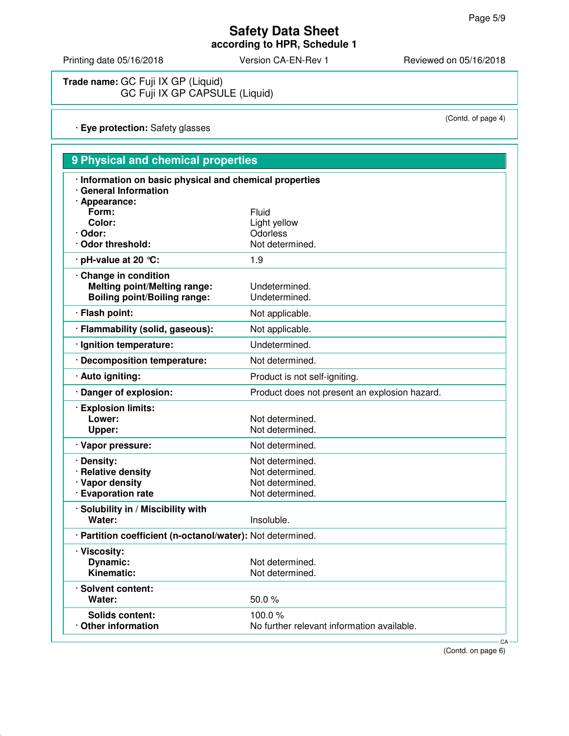Printing date 05/16/2018 Version CA-EN-Rev 1 Reviewed on 05/16/2018

(Contd. of page 4)

**Trade name:** GC Fuji IX GP (Liquid) GC Fuji IX GP CAPSULE (Liquid)

· **Eye protection:** Safety glasses

| 9 Physical and chemical properties                                                                |                                                                          |  |
|---------------------------------------------------------------------------------------------------|--------------------------------------------------------------------------|--|
| · Information on basic physical and chemical properties<br>· General Information                  |                                                                          |  |
| · Appearance:<br>Form:                                                                            | Fluid                                                                    |  |
| Color:<br>· Odor:                                                                                 | Light yellow<br>Odorless                                                 |  |
| Odor threshold:                                                                                   | Not determined.                                                          |  |
| pH-value at 20 °C:                                                                                | 1.9                                                                      |  |
| Change in condition<br><b>Melting point/Melting range:</b><br><b>Boiling point/Boiling range:</b> | Undetermined.<br>Undetermined.                                           |  |
| · Flash point:                                                                                    | Not applicable.                                                          |  |
| · Flammability (solid, gaseous):                                                                  | Not applicable.                                                          |  |
| Ignition temperature:                                                                             | Undetermined.                                                            |  |
| <b>Decomposition temperature:</b>                                                                 | Not determined.                                                          |  |
| · Auto igniting:                                                                                  | Product is not self-igniting.                                            |  |
| Danger of explosion:                                                                              | Product does not present an explosion hazard.                            |  |
| · Explosion limits:<br>Lower:<br>Upper:                                                           | Not determined.<br>Not determined.                                       |  |
| · Vapor pressure:                                                                                 | Not determined.                                                          |  |
| Density:<br><b>Relative density</b><br>· Vapor density<br>· Evaporation rate                      | Not determined.<br>Not determined.<br>Not determined.<br>Not determined. |  |
| · Solubility in / Miscibility with<br>Water:                                                      | Insoluble.                                                               |  |
| · Partition coefficient (n-octanol/water): Not determined.                                        |                                                                          |  |
| · Viscosity:<br><b>Dynamic:</b><br>Kinematic:                                                     | Not determined.<br>Not determined.                                       |  |
| · Solvent content:<br>Water:                                                                      | 50.0%                                                                    |  |
| <b>Solids content:</b><br>Other information                                                       | 100.0%<br>No further relevant information available.                     |  |

(Contd. on page 6)

**CA**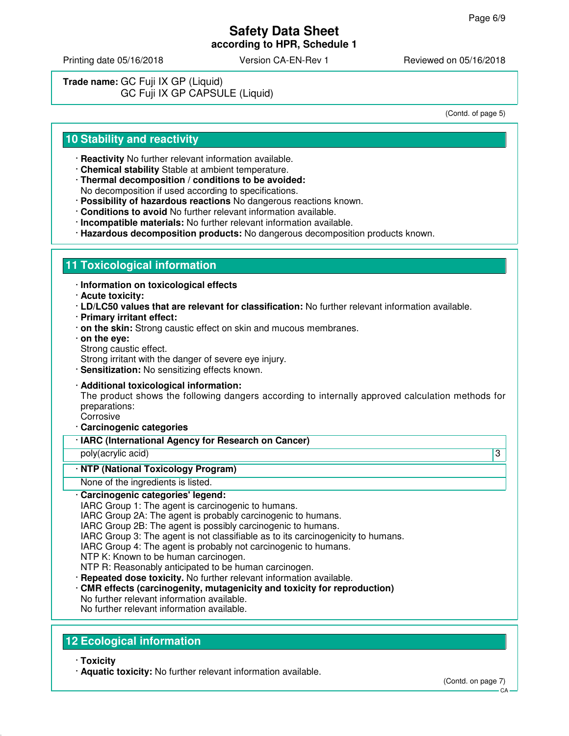Printing date 05/16/2018 Version CA-EN-Rev 1 Reviewed on 05/16/2018

**Trade name:** GC Fuji IX GP (Liquid) GC Fuji IX GP CAPSULE (Liquid)

(Contd. of page 5)

### **10 Stability and reactivity**

- · **Reactivity** No further relevant information available.
- · **Chemical stability** Stable at ambient temperature.
- · **Thermal decomposition / conditions to be avoided:** No decomposition if used according to specifications.
- · **Possibility of hazardous reactions** No dangerous reactions known.
- · **Conditions to avoid** No further relevant information available.
- · **Incompatible materials:** No further relevant information available.
- · **Hazardous decomposition products:** No dangerous decomposition products known.

#### **11 Toxicological information**

- · **Information on toxicological effects**
- · **Acute toxicity:**
- · **LD/LC50 values that are relevant for classification:** No further relevant information available.
- · **Primary irritant effect:**
- · **on the skin:** Strong caustic effect on skin and mucous membranes.
- · **on the eye:**
- Strong caustic effect.

Strong irritant with the danger of severe eye injury.

- · **Sensitization:** No sensitizing effects known.
- · **Additional toxicological information:**

The product shows the following dangers according to internally approved calculation methods for preparations:

- Corrosive · **Carcinogenic categories**
- · **IARC (International Agency for Research on Cancer)**

poly(acrylic acid) 3

#### · **NTP (National Toxicology Program)**

None of the ingredients is listed.

- · **Carcinogenic categories' legend:**
- IARC Group 1: The agent is carcinogenic to humans.
- IARC Group 2A: The agent is probably carcinogenic to humans.
- IARC Group 2B: The agent is possibly carcinogenic to humans.
- IARC Group 3: The agent is not classifiable as to its carcinogenicity to humans.
- IARC Group 4: The agent is probably not carcinogenic to humans.
- NTP K: Known to be human carcinogen.
- NTP R: Reasonably anticipated to be human carcinogen.
- · **Repeated dose toxicity.** No further relevant information available.
- · **CMR effects (carcinogenity, mutagenicity and toxicity for reproduction)**
- No further relevant information available.
- No further relevant information available.

### **12 Ecological information**

- · **Toxicity**
- · **Aquatic toxicity:** No further relevant information available.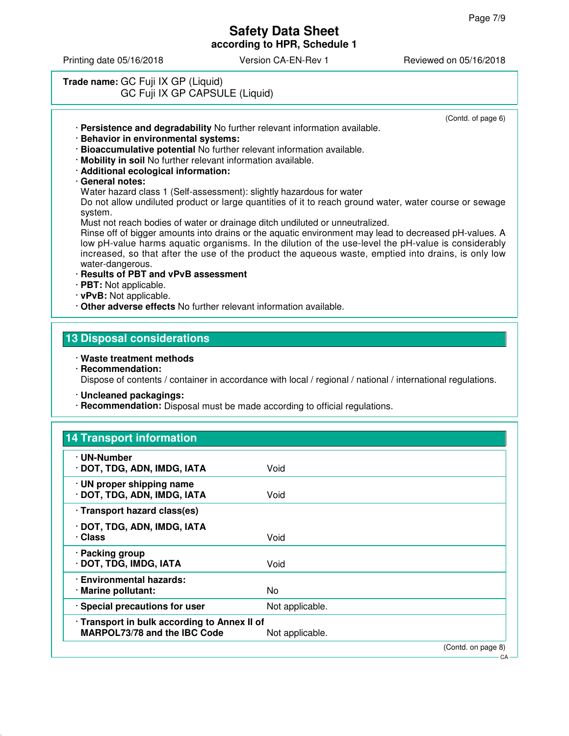(Contd. of page 6)

### **Safety Data Sheet according to HPR, Schedule 1**

Printing date 05/16/2018 Version CA-EN-Rev 1 Reviewed on 05/16/2018

### **Trade name:** GC Fuji IX GP (Liquid) GC Fuji IX GP CAPSULE (Liquid)

· **Persistence and degradability** No further relevant information available.

- · **Behavior in environmental systems:**
- · **Bioaccumulative potential** No further relevant information available.
- · **Mobility in soil** No further relevant information available.
- · **Additional ecological information:**
- · **General notes:**

Water hazard class 1 (Self-assessment): slightly hazardous for water

Do not allow undiluted product or large quantities of it to reach ground water, water course or sewage system.

Must not reach bodies of water or drainage ditch undiluted or unneutralized.

Rinse off of bigger amounts into drains or the aquatic environment may lead to decreased pH-values. A low pH-value harms aquatic organisms. In the dilution of the use-level the pH-value is considerably increased, so that after the use of the product the aqueous waste, emptied into drains, is only low water-dangerous.

- · **Results of PBT and vPvB assessment**
- · **PBT:** Not applicable.
- · **vPvB:** Not applicable.
- · **Other adverse effects** No further relevant information available.

### **13 Disposal considerations**

- · **Waste treatment methods**
- · **Recommendation:** Dispose of contents / container in accordance with local / regional / national / international regulations.
- · **Uncleaned packagings:**
- · **Recommendation:** Disposal must be made according to official regulations.

| Void                                                            |  |
|-----------------------------------------------------------------|--|
| Void                                                            |  |
|                                                                 |  |
| Void                                                            |  |
| Void                                                            |  |
| No.                                                             |  |
| Not applicable.                                                 |  |
| · Transport in bulk according to Annex II of<br>Not applicable. |  |
|                                                                 |  |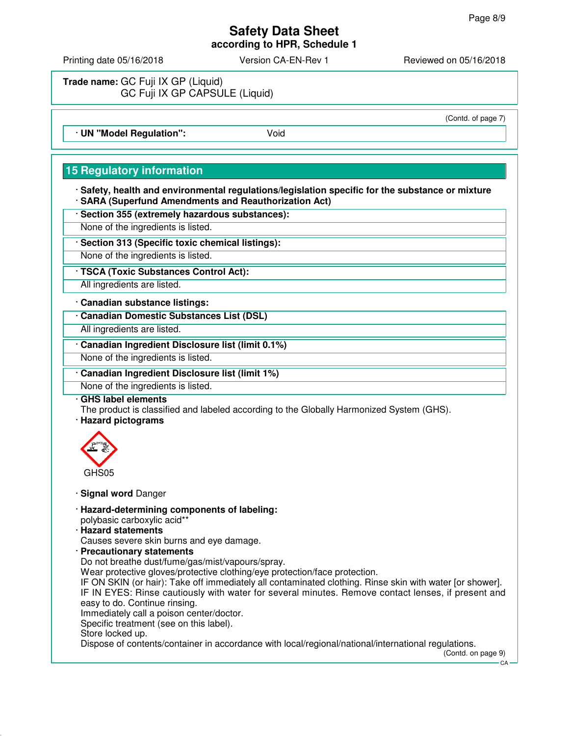Printing date 05/16/2018 Version CA-EN-Rev 1 Reviewed on 05/16/2018

**Trade name:** GC Fuji IX GP (Liquid) GC Fuji IX GP CAPSULE (Liquid)

# (Contd. of page 7)

· **UN "Model Regulation":** Void

## **15 Regulatory information**

· **Safety, health and environmental regulations/legislation specific for the substance or mixture** · **SARA (Superfund Amendments and Reauthorization Act)**

· **Section 355 (extremely hazardous substances):**

None of the ingredients is listed.

· **Section 313 (Specific toxic chemical listings):**

None of the ingredients is listed.

· **TSCA (Toxic Substances Control Act):**

All ingredients are listed.

· **Canadian substance listings:**

· **Canadian Domestic Substances List (DSL)**

All ingredients are listed.

· **Canadian Ingredient Disclosure list (limit 0.1%)**

None of the ingredients is listed.

· **Canadian Ingredient Disclosure list (limit 1%)**

None of the ingredients is listed.

· **GHS label elements**

The product is classified and labeled according to the Globally Harmonized System (GHS).

· **Hazard pictograms**



· **Signal word** Danger

- · **Hazard-determining components of labeling:** polybasic carboxylic acid\*\*
- · **Hazard statements**
- Causes severe skin burns and eye damage.
- · **Precautionary statements**

Do not breathe dust/fume/gas/mist/vapours/spray. Wear protective gloves/protective clothing/eye protection/face protection.

IF ON SKIN (or hair): Take off immediately all contaminated clothing. Rinse skin with water [or shower]. IF IN EYES: Rinse cautiously with water for several minutes. Remove contact lenses, if present and

easy to do. Continue rinsing.

Immediately call a poison center/doctor.

Specific treatment (see on this label).

Store locked up.

Dispose of contents/container in accordance with local/regional/national/international regulations.

(Contd. on page 9)

 $C.A$